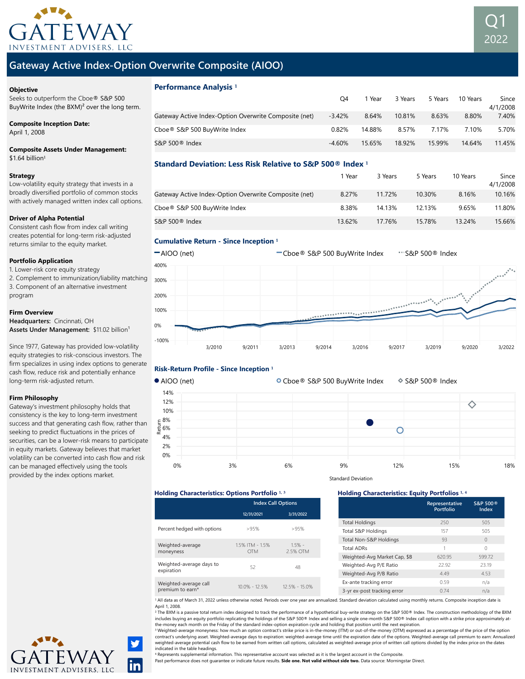



### **Objective**

Seeks to outperform the Cboe® S&P 500 BuyWrite Index (the BXM)² over the long term.

### Composite Inception Date:

April 1, 2008

### Composite Assets Under Management:  $$1.64$  billion<sup>1</sup>

### Strategy

Low-volatility equity strategy that invests in a broadly diversified portfolio of common stocks with actively managed written index call options.

### Driver of Alpha Potential

Consistent cash flow from index call writing creates potential for long-term risk-adjusted returns similar to the equity market.

### Portfolio Application

1. Lower-risk core equity strategy

2. Complement to immunization/liability matching 3. Component of an alternative investment program

### Firm Overview

Headquarters: Cincinnati, OH Assets Under Management: \$11.02 billion<sup>1</sup>

Since 1977, Gateway has provided low-volatility equity strategies to risk-conscious investors. The firm specializes in using index options to generate cash flow, reduce risk and potentially enhance long-term risk-adjusted return.

### Firm Philosophy

Gateway's investment philosophy holds that consistency is the key to long-term investment success and that generating cash flow, rather than seeking to predict fluctuations in the prices of securities, can be a lower-risk means to participate in equity markets. Gateway believes that market volatility can be converted into cash flow and risk can be managed effectively using the tools provided by the index options market.

| <b>Performance Analysis</b> <sup>1</sup>              |          |        |         |         |          |                   |
|-------------------------------------------------------|----------|--------|---------|---------|----------|-------------------|
|                                                       | O4       | 1 Year | 3 Years | 5 Years | 10 Years | Since<br>4/1/2008 |
| Gateway Active Index-Option Overwrite Composite (net) | $-3.42%$ | 8.64%  | 10.81%  | 8.63%   | 8.80%    | 7.40%             |
| Cboe® S&P 500 BuyWrite Index                          | 0.82%    | 14.88% | 8.57%   | 7.17%   | 7.10%    | 5.70%             |
| S&P 500 <sup>®</sup> Index                            | $-4.60%$ | 15.65% | 18.92%  | 15.99%  | 14.64%   | 11.45%            |

# Standard Deviation: Less Risk Relative to S&P 500® Index **¹**

|                                                       | 1 Year | 3 Years | 5 Years | 10 Years | Since<br>4/1/2008 |
|-------------------------------------------------------|--------|---------|---------|----------|-------------------|
| Gateway Active Index-Option Overwrite Composite (net) | 8.27%  | 11.72%  | 10.30%  | 8.16%    | 10.16%            |
| Cboe® S&P 500 BuyWrite Index                          | 8.38%  | 14.13%  | 12.13%  | 9.65%    | 11.80%            |
| S&P 500 <sup>®</sup> Index                            | 13.62% | 17.76%  | 15.78%  | 13.24%   | 15.66%            |

### Cumulative Return - Since Inception **¹**





### Risk-Return Profile - Since Inception **¹**

### AIOO (net) Cboe® S&P 500 BuyWrite Index S&P 500® Index 14% 12%  $\Diamond$ 10% = 8%<br>ខ្លួ 6%<br><u>ខ</u>្ 6% 4% 2% 0%



# Holding Characteristics: Options Portfolio 1, 3 **Booking Characteristics: Equity Portfolios** 1, 4

|                                           | <b>Index Call Options</b>   |                     |  |
|-------------------------------------------|-----------------------------|---------------------|--|
|                                           | 12/31/2021                  | 3/31/2022           |  |
| Percent hedged with options               | >95%                        | >95%                |  |
| Weighted-average<br>moneyness             | 15% ITM - 15%<br><b>OTM</b> | $15% -$<br>2.5% OTM |  |
| Weighted-average days to<br>expiration    | 52                          | 48                  |  |
| Weighted-average call<br>premium to earn* | $10.0\% - 12.5\%$           | 12 5% - 15 0%       |  |

|                              | Representative<br><b>Portfolio</b> | S&P 500 <sup>®</sup><br>Index |
|------------------------------|------------------------------------|-------------------------------|
| <b>Total Holdings</b>        | 250                                | 505                           |
| Total S&P Holdings           | 157                                | 505                           |
| Total Non-S&P Holdings       | 93                                 | $\Omega$                      |
| <b>Total ADRs</b>            | 1                                  | O                             |
| Weighted-Avg Market Cap, \$B | 620.95                             | 59972                         |
| Weighted-Avg P/E Ratio       | 22.92                              | 23.19                         |
| Weighted-Avg P/B Ratio       | 449                                | 453                           |
| Ex-ante tracking error       | 059                                | n/a                           |
| 3-yr ex-post tracking error  | 074                                | n/a                           |

1 All data as of March 31, 2022 unless otherwise noted. Periods over one year are annualized. Standard deviation calculated using monthly returns. Composite inception date is April 1, 2008.

² The BXM is a passive total return index designed to track the performance of a hypothetical buy-write strategy on the S&P 500® Index. The construction methodology of the BXM includes buying an equity portfolio replicating the holdings of the S&P 500® Index and selling a single one-month S&P 500® Index call option with a strike price approximately at-<br>the-money each month on the Friday of the s

<sup>3</sup> Weighted-average moneyness: how much an option contract's strike price is in-the-money (ITM) or out-of-the-money (OTM) expressed as a percentage of the price of the option contract's underlying asset. Weighted-average days to expiration: weighted-average time until the expiration date of the options. Weighted-average call premium to earn: Annualized weighted-average potential cash flow to be earned from written call options, calculated as weighted-average price of written call options divided by the index price on the dates indicated in the table headings.

⁴ Represents supplemental information. This representative account was selected as it is the largest account in the Composite.

Past performance does not guarantee or indicate future results. Side one. Not valid without side two. Data source: Morningstar Direct.